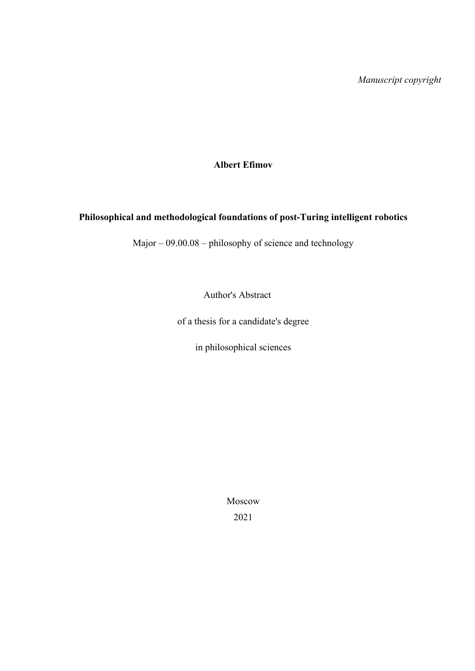*Manuscript copyright*

**Albert Efimov**

# **Philosophical and methodological foundations of post-Turing intelligent robotics**

Major – 09.00.08 – philosophy of science and technology

Author's Abstract

of a thesis for a candidate's degree

in philosophical sciences

Moscow 2021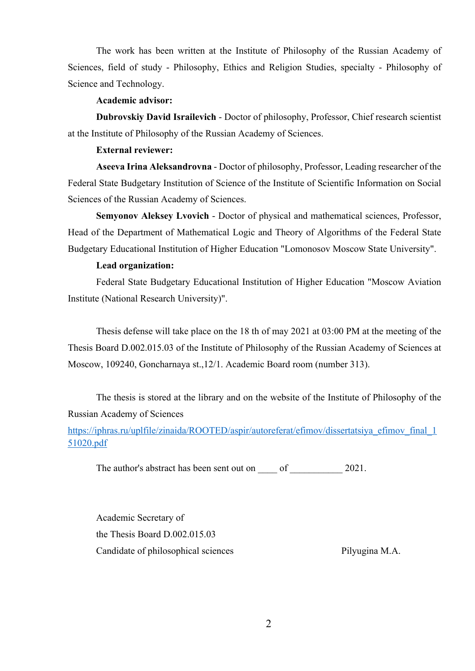The work has been written at the Institute of Philosophy of the Russian Academy of Sciences, field of study - Philosophy, Ethics and Religion Studies, specialty - Philosophy of Science and Technology.

## **Academic advisor:**

**Dubrovskiy David Israilevich** - Doctor of philosophy, Professor, Chief research scientist at the Institute of Philosophy of the Russian Academy of Sciences.

#### **External reviewer:**

**Aseeva Irina Aleksandrovna** - Doctor of philosophy, Professor, Leading researcher of the Federal State Budgetary Institution of Science of the Institute of Scientific Information on Social Sciences of the Russian Academy of Sciences.

**Semyonov Aleksey Lvovich** - Doctor of physical and mathematical sciences, Professor, Head of the Department of Mathematical Logic and Theory of Algorithms of the Federal State Budgetary Educational Institution of Higher Education "Lomonosov Moscow State University".

#### **Lead organization:**

Federal State Budgetary Educational Institution of Higher Education "Moscow Aviation Institute (National Research University)".

Thesis defense will take place on the 18 th of may 2021 at 03:00 PM at the meeting of the Thesis Board D.002.015.03 of the Institute of Philosophy of the Russian Academy of Sciences at Moscow, 109240, Goncharnaya st.,12/1. Academic Board room (number 313).

The thesis is stored at the library and on the website of the Institute of Philosophy of the Russian Academy of Sciences

https://iphras.ru/uplfile/zinaida/ROOTED/aspir/autoreferat/efimov/dissertatsiya\_efimov\_final\_1 51020.pdf

The author's abstract has been sent out on  $\qquad \qquad$  of  $\qquad \qquad$  2021.

Academic Secretary of the Thesis Board D.002.015.03 Candidate of philosophical sciences Pilyugina M.A.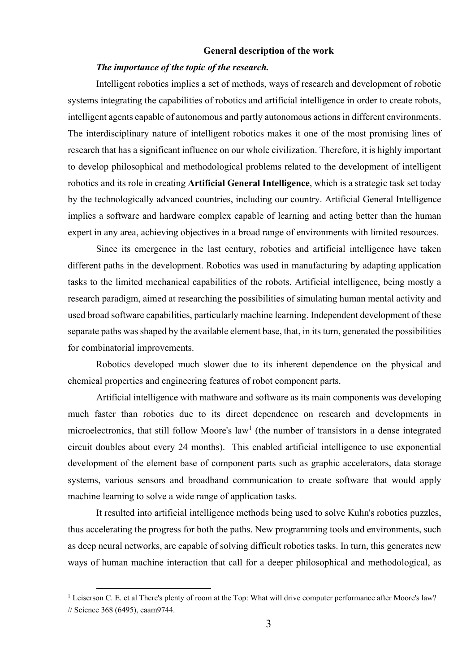#### **General description of the work**

#### *The importance of the topic of the research.*

Intelligent robotics implies a set of methods, ways of research and development of robotic systems integrating the capabilities of robotics and artificial intelligence in order to create robots, intelligent agents capable of autonomous and partly autonomous actions in different environments. The interdisciplinary nature of intelligent robotics makes it one of the most promising lines of research that has a significant influence on our whole civilization. Therefore, it is highly important to develop philosophical and methodological problems related to the development of intelligent robotics and its role in creating **Artificial General Intelligence**, which is a strategic task set today by the technologically advanced countries, including our country. Artificial General Intelligence implies a software and hardware complex capable of learning and acting better than the human expert in any area, achieving objectives in a broad range of environments with limited resources.

Since its emergence in the last century, robotics and artificial intelligence have taken different paths in the development. Robotics was used in manufacturing by adapting application tasks to the limited mechanical capabilities of the robots. Artificial intelligence, being mostly a research paradigm, aimed at researching the possibilities of simulating human mental activity and used broad software capabilities, particularly machine learning. Independent development of these separate paths was shaped by the available element base, that, in its turn, generated the possibilities for combinatorial improvements.

Robotics developed much slower due to its inherent dependence on the physical and chemical properties and engineering features of robot component parts.

Artificial intelligence with mathware and software as its main components was developing much faster than robotics due to its direct dependence on research and developments in microelectronics, that still follow Moore's  $law<sup>1</sup>$  (the number of transistors in a dense integrated circuit doubles about every 24 months).This enabled artificial intelligence to use exponential development of the element base of component parts such as graphic accelerators, data storage systems, various sensors and broadband communication to create software that would apply machine learning to solve a wide range of application tasks.

It resulted into artificial intelligence methods being used to solve Kuhn's robotics puzzles, thus accelerating the progress for both the paths. New programming tools and environments, such as deep neural networks, are capable of solving difficult robotics tasks. In turn, this generates new ways of human machine interaction that call for a deeper philosophical and methodological, as

<sup>&</sup>lt;sup>1</sup> Leiserson C. E. et al There's plenty of room at the Top: What will drive computer performance after Moore's law? // Science 368 (6495), eaam9744.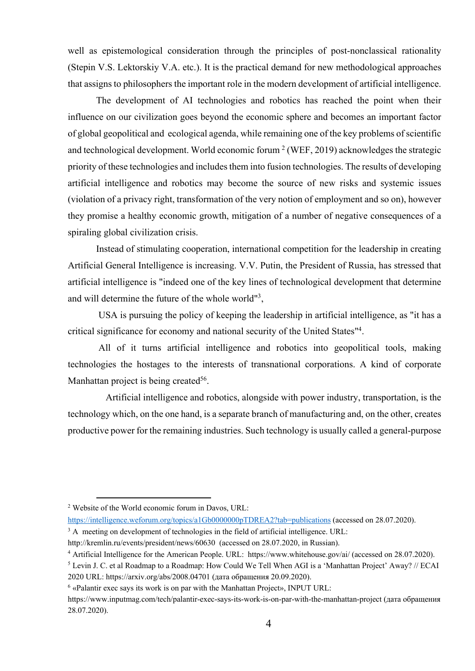well as epistemological consideration through the principles of post-nonclassical rationality (Stepin V.S. Lektorskiy V.A. etc.). It is the practical demand for new methodological approaches that assigns to philosophers the important role in the modern development of artificial intelligence.

The development of AI technologies and robotics has reached the point when their influence on our civilization goes beyond the economic sphere and becomes an important factor of global geopolitical and ecological agenda, while remaining one of the key problems of scientific and technological development. World economic forum  $2$  (WEF, 2019) acknowledges the strategic priority of these technologies and includes them into fusion technologies. The results of developing artificial intelligence and robotics may become the source of new risks and systemic issues (violation of a privacy right, transformation of the very notion of employment and so on), however they promise a healthy economic growth, mitigation of a number of negative consequences of a spiraling global civilization crisis.

Instead of stimulating cooperation, international competition for the leadership in creating Artificial General Intelligence is increasing. V.V. Putin, the President of Russia, has stressed that artificial intelligence is "indeed one of the key lines of technological development that determine and will determine the future of the whole world"3,

USA is pursuing the policy of keeping the leadership in artificial intelligence, as "it has a critical significance for economy and national security of the United States"4.

All of it turns artificial intelligence and robotics into geopolitical tools, making technologies the hostages to the interests of transnational corporations. A kind of corporate Manhattan project is being created<sup>56</sup>.

 Artificial intelligence and robotics, alongside with power industry, transportation, is the technology which, on the one hand, is a separate branch of manufacturing and, on the other, creates productive power for the remaining industries. Such technology is usually called a general-purpose

<sup>2</sup> Website of the World economic forum in Davos, URL:

https://intelligence.weforum.org/topics/a1Gb0000000pTDREA2?tab=publications (accessed on 28.07.2020).

 $3 A$  meeting on development of technologies in the field of artificial intelligence. URL:

http://kremlin.ru/events/president/news/60630 (accessed on 28.07.2020, in Russian).

<sup>&</sup>lt;sup>4</sup> Artificial Intelligence for the American People. URL: https://www.whitehouse.gov/ai/ (accessed on 28.07.2020).

<sup>&</sup>lt;sup>5</sup> Levin J. C. et al Roadmap to a Roadmap: How Could We Tell When AGI is a 'Manhattan Project' Away? // ECAI 2020 URL: https://arxiv.org/abs/2008.04701 (дата обращения 20.09.2020).

 $6 \times$ Palantir exec says its work is on par with the Manhattan Project», INPUT URL:

https://www.inputmag.com/tech/palantir-exec-says-its-work-is-on-par-with-the-manhattan-project (дата обращения 28.07.2020).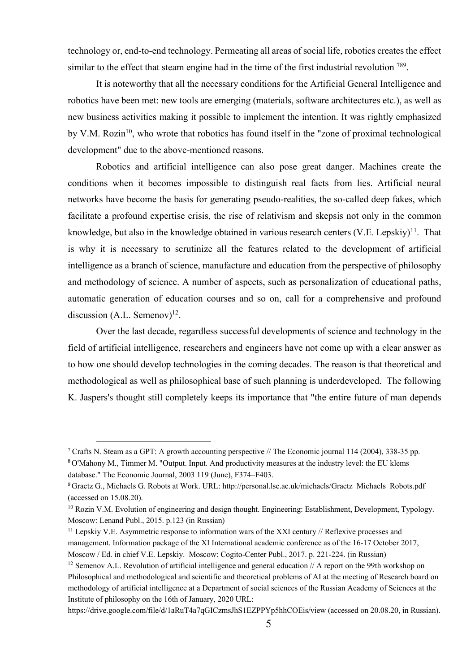technology or, end-to-end technology. Permeating all areas of social life, robotics creates the effect similar to the effect that steam engine had in the time of the first industrial revolution  $^{789}$ .

It is noteworthy that all the necessary conditions for the Artificial General Intelligence and robotics have been met: new tools are emerging (materials, software architectures etc.), as well as new business activities making it possible to implement the intention. It was rightly emphasized by V.M. Rozin<sup>10</sup>, who wrote that robotics has found itself in the "zone of proximal technological development" due to the above-mentioned reasons.

Robotics and artificial intelligence can also pose great danger. Machines create the conditions when it becomes impossible to distinguish real facts from lies. Artificial neural networks have become the basis for generating pseudo-realities, the so-called deep fakes, which facilitate a profound expertise crisis, the rise of relativism and skepsis not only in the common knowledge, but also in the knowledge obtained in various research centers  $(V.E. Lepskiv)^{11}$ . That is why it is necessary to scrutinize all the features related to the development of artificial intelligence as a branch of science, manufacture and education from the perspective of philosophy and methodology of science. A number of aspects, such as personalization of educational paths, automatic generation of education courses and so on, call for a comprehensive and profound discussion (A.L. Semenov)<sup>12</sup>.

Over the last decade, regardless successful developments of science and technology in the field of artificial intelligence, researchers and engineers have not come up with a clear answer as to how one should develop technologies in the coming decades. The reason is that theoretical and methodological as well as philosophical base of such planning is underdeveloped. The following K. Jaspers's thought still completely keeps its importance that "the entire future of man depends

 $11$  Lepskiy V.E. Asymmetric response to information wars of the XXI century // Reflexive processes and management. Information package of the XI International academic conference as of the 16-17 October 2017, Moscow / Ed. in chief V.E. Lepskiy. Moscow: Cogito-Center Publ., 2017. p. 221-224. (in Russian)

https://drive.google.com/file/d/1aRuT4a7qGICzmsJhS1EZPPYp5hhCOEis/view (accessed on 20.08.20, in Russian).

<sup>&</sup>lt;sup>7</sup> Crafts N. Steam as a GPT: A growth accounting perspective // The Economic journal 114 (2004), 338-35 pp. <sup>8</sup> O'Mahony M., Timmer M. "Output. Input. And productivity measures at the industry level: the EU klems

database." The Economic Journal, 2003 119 (June), F374–F403.

<sup>&</sup>lt;sup>9</sup> Graetz G., Michaels G. Robots at Work. URL: http://personal.lse.ac.uk/michaels/Graetz\_Michaels\_Robots.pdf (accessed on 15.08.20).

<sup>&</sup>lt;sup>10</sup> Rozin V.M. Evolution of engineering and design thought. Engineering: Establishment, Development, Typology. Moscow: Lenand Publ., 2015. p.123 (in Russian)

 $12$  Semenov A.L. Revolution of artificial intelligence and general education  $//$  A report on the 99th workshop on Philosophical and methodological and scientific and theoretical problems of AI at the meeting of Research board on methodology of artificial intelligence at a Department of social sciences of the Russian Academy of Sciences at the Institute of philosophy on the 16th of January, 2020 URL: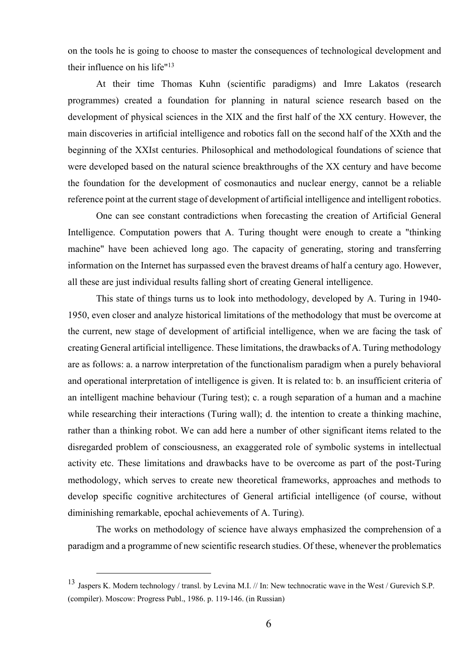on the tools he is going to choose to master the consequences of technological development and their influence on his life"13

At their time Thomas Kuhn (scientific paradigms) and Imre Lakatos (research programmes) created a foundation for planning in natural science research based on the development of physical sciences in the XIX and the first half of the XX century. However, the main discoveries in artificial intelligence and robotics fall on the second half of the XXth and the beginning of the XXIst centuries. Philosophical and methodological foundations of science that were developed based on the natural science breakthroughs of the XX century and have become the foundation for the development of cosmonautics and nuclear energy, cannot be a reliable reference point at the current stage of development of artificial intelligence and intelligent robotics.

One can see constant contradictions when forecasting the creation of Artificial General Intelligence. Computation powers that A. Turing thought were enough to create a "thinking machine" have been achieved long ago. The capacity of generating, storing and transferring information on the Internet has surpassed even the bravest dreams of half a century ago. However, all these are just individual results falling short of creating General intelligence.

This state of things turns us to look into methodology, developed by A. Turing in 1940- 1950, even closer and analyze historical limitations of the methodology that must be overcome at the current, new stage of development of artificial intelligence, when we are facing the task of creating General artificial intelligence. These limitations, the drawbacks of A. Turing methodology are as follows: a. a narrow interpretation of the functionalism paradigm when a purely behavioral and operational interpretation of intelligence is given. It is related to: b. an insufficient criteria of an intelligent machine behaviour (Turing test); c. a rough separation of a human and a machine while researching their interactions (Turing wall); d. the intention to create a thinking machine, rather than a thinking robot. We can add here a number of other significant items related to the disregarded problem of consciousness, an exaggerated role of symbolic systems in intellectual activity etc. These limitations and drawbacks have to be overcome as part of the post-Turing methodology, which serves to create new theoretical frameworks, approaches and methods to develop specific cognitive architectures of General artificial intelligence (of course, without diminishing remarkable, epochal achievements of A. Turing).

The works on methodology of science have always emphasized the comprehension of a paradigm and a programme of new scientific research studies. Of these, whenever the problematics

<sup>&</sup>lt;sup>13</sup> Jaspers K. Modern technology / transl. by Levina M.I. // In: New technocratic wave in the West / Gurevich S.P. (compiler). Moscow: Progress Publ., 1986. p. 119-146. (in Russian)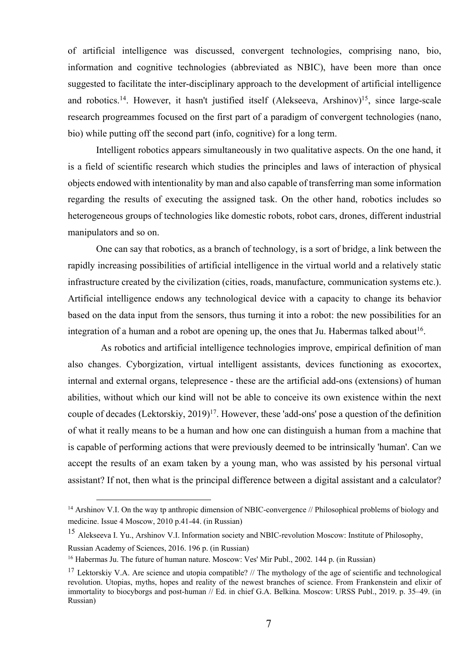of artificial intelligence was discussed, convergent technologies, comprising nano, bio, information and cognitive technologies (abbreviated as NBIC), have been more than once suggested to facilitate the inter-disciplinary approach to the development of artificial intelligence and robotics.<sup>14</sup>. However, it hasn't justified itself (Alekseeva, Arshinov)<sup>15</sup>, since large-scale research progreammes focused on the first part of a paradigm of convergent technologies (nano, bio) while putting off the second part (info, cognitive) for a long term.

Intelligent robotics appears simultaneously in two qualitative aspects. On the one hand, it is a field of scientific research which studies the principles and laws of interaction of physical objects endowed with intentionality by man and also capable of transferring man some information regarding the results of executing the assigned task. On the other hand, robotics includes so heterogeneous groups of technologies like domestic robots, robot cars, drones, different industrial manipulators and so on.

One can say that robotics, as a branch of technology, is a sort of bridge, a link between the rapidly increasing possibilities of artificial intelligence in the virtual world and a relatively static infrastructure created by the civilization (cities, roads, manufacture, communication systems etc.). Artificial intelligence endows any technological device with a capacity to change its behavior based on the data input from the sensors, thus turning it into a robot: the new possibilities for an integration of a human and a robot are opening up, the ones that Ju. Habermas talked about<sup>16</sup>.

 As robotics and artificial intelligence technologies improve, empirical definition of man also changes. Cyborgization, virtual intelligent assistants, devices functioning as exocortex, internal and external organs, telepresence - these are the artificial add-ons (extensions) of human abilities, without which our kind will not be able to conceive its own existence within the next couple of decades (Lektorskiy, 2019)<sup>17</sup>. However, these 'add-ons' pose a question of the definition of what it really means to be a human and how one can distinguish a human from a machine that is capable of performing actions that were previously deemed to be intrinsically 'human'. Can we accept the results of an exam taken by a young man, who was assisted by his personal virtual assistant? If not, then what is the principal difference between a digital assistant and a calculator?

<sup>&</sup>lt;sup>14</sup> Arshinov V.I. On the way tp anthropic dimension of NBIC-convergence // Philosophical problems of biology and medicine. Issue 4 Moscow, 2010 p.41-44. (in Russian)

<sup>15</sup> Alekseeva I. Yu., Arshinov V.I. Information society and NBIC-revolution Moscow: Institute of Philosophy,

Russian Academy of Sciences, 2016. 196 p. (in Russian)

<sup>&</sup>lt;sup>16</sup> Habermas Ju. The future of human nature. Moscow: Ves' Mir Publ., 2002. 144 p. (in Russian)

<sup>&</sup>lt;sup>17</sup> Lektorskiy V.A. Are science and utopia compatible? // The mythology of the age of scientific and technological revolution. Utopias, myths, hopes and reality of the newest branches of science. From Frankenstein and elixir of immortality to biocyborgs and post-human // Ed. in chief G.A. Belkina. Moscow: URSS Publ., 2019. p. 35–49. (in Russian)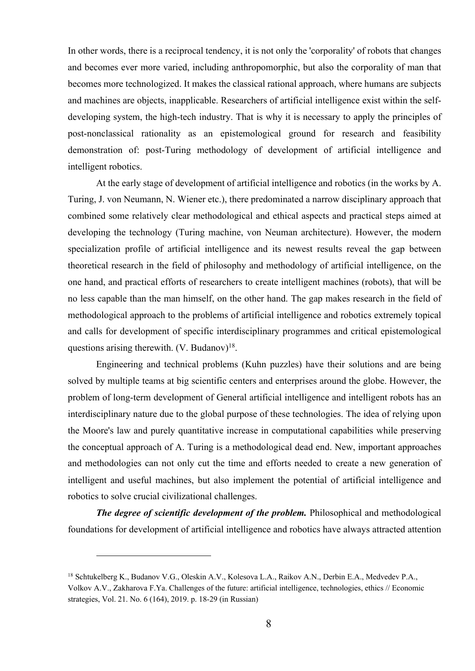In other words, there is a reciprocal tendency, it is not only the 'corporality' of robots that changes and becomes ever more varied, including anthropomorphic, but also the corporality of man that becomes more technologized. It makes the classical rational approach, where humans are subjects and machines are objects, inapplicable. Researchers of artificial intelligence exist within the selfdeveloping system, the high-tech industry. That is why it is necessary to apply the principles of post-nonclassical rationality as an epistemological ground for research and feasibility demonstration of: post-Turing methodology of development of artificial intelligence and intelligent robotics.

At the early stage of development of artificial intelligence and robotics (in the works by A. Turing, J. von Neumann, N. Wiener etc.), there predominated a narrow disciplinary approach that combined some relatively clear methodological and ethical aspects and practical steps aimed at developing the technology (Turing machine, von Neuman architecture). However, the modern specialization profile of artificial intelligence and its newest results reveal the gap between theoretical research in the field of philosophy and methodology of artificial intelligence, on the one hand, and practical efforts of researchers to create intelligent machines (robots), that will be no less capable than the man himself, on the other hand. The gap makes research in the field of methodological approach to the problems of artificial intelligence and robotics extremely topical and calls for development of specific interdisciplinary programmes and critical epistemological questions arising therewith.  $(V.$  Budanov $)^{18}$ .

Engineering and technical problems (Kuhn puzzles) have their solutions and are being solved by multiple teams at big scientific centers and enterprises around the globe. However, the problem of long-term development of General artificial intelligence and intelligent robots has an interdisciplinary nature due to the global purpose of these technologies. The idea of relying upon the Moore's law and purely quantitative increase in computational capabilities while preserving the conceptual approach of A. Turing is a methodological dead end. New, important approaches and methodologies can not only cut the time and efforts needed to create a new generation of intelligent and useful machines, but also implement the potential of artificial intelligence and robotics to solve crucial civilizational challenges.

*The degree of scientific development of the problem.* Philosophical and methodological foundations for development of artificial intelligence and robotics have always attracted attention

<sup>18</sup> Schtukelberg K., Budanov V.G., Oleskin A.V., Kolesova L.A., Raikov A.N., Derbin E.A., Medvedev P.A., Volkov A.V., Zakharova F.Ya. Challenges of the future: artificial intelligence, technologies, ethics // Economic strategies, Vol. 21. No. 6 (164), 2019. p. 18-29 (in Russian)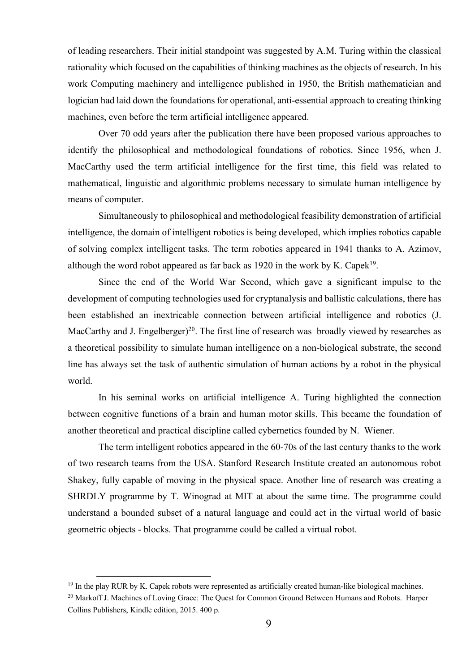of leading researchers. Their initial standpoint was suggested by A.M. Turing within the classical rationality which focused on the capabilities of thinking machines as the objects of research. In his work Computing machinery and intelligence published in 1950, the British mathematician and logician had laid down the foundations for operational, anti-essential approach to creating thinking machines, even before the term artificial intelligence appeared.

Over 70 odd years after the publication there have been proposed various approaches to identify the philosophical and methodological foundations of robotics. Since 1956, when J. MacCarthy used the term artificial intelligence for the first time, this field was related to mathematical, linguistic and algorithmic problems necessary to simulate human intelligence by means of computer.

Simultaneously to philosophical and methodological feasibility demonstration of artificial intelligence, the domain of intelligent robotics is being developed, which implies robotics capable of solving complex intelligent tasks. The term robotics appeared in 1941 thanks to A. Azimov, although the word robot appeared as far back as  $1920$  in the work by K. Capek<sup>19</sup>.

Since the end of the World War Second, which gave a significant impulse to the development of computing technologies used for cryptanalysis and ballistic calculations, there has been established an inextricable connection between artificial intelligence and robotics (J. MacCarthy and J. Engelberger)<sup>20</sup>. The first line of research was broadly viewed by researches as a theoretical possibility to simulate human intelligence on a non-biological substrate, the second line has always set the task of authentic simulation of human actions by a robot in the physical world.

In his seminal works on artificial intelligence A. Turing highlighted the connection between cognitive functions of a brain and human motor skills. This became the foundation of another theoretical and practical discipline called cybernetics founded by N. Wiener.

The term intelligent robotics appeared in the 60-70s of the last century thanks to the work of two research teams from the USA. Stanford Research Institute created an autonomous robot Shakey, fully capable of moving in the physical space. Another line of research was creating a SHRDLY programme by T. Winograd at MIT at about the same time. The programme could understand a bounded subset of a natural language and could act in the virtual world of basic geometric objects - blocks. That programme could be called a virtual robot.

 $19$  In the play RUR by K. Capek robots were represented as artificially created human-like biological machines.

<sup>&</sup>lt;sup>20</sup> Markoff J. Machines of Loving Grace: The Ouest for Common Ground Between Humans and Robots. Harper Collins Publishers, Kindle edition, 2015. 400 p.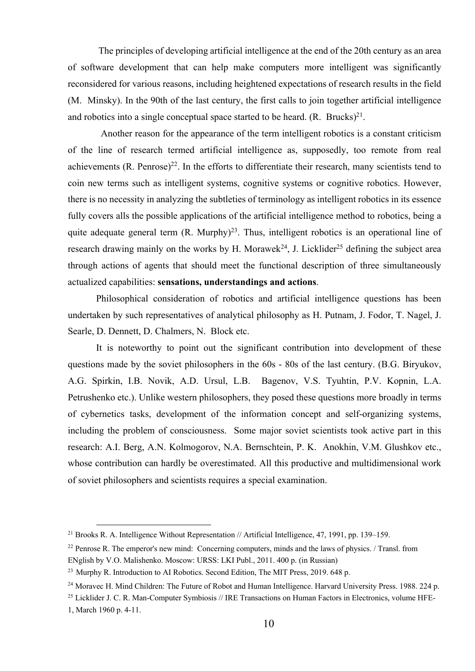The principles of developing artificial intelligence at the end of the 20th century as an area of software development that can help make computers more intelligent was significantly reconsidered for various reasons, including heightened expectations of research results in the field (M. Minsky). In the 90th of the last century, the first calls to join together artificial intelligence and robotics into a single conceptual space started to be heard.  $(R.$  Brucks)<sup>21</sup>.

 Another reason for the appearance of the term intelligent robotics is a constant criticism of the line of research termed artificial intelligence as, supposedly, too remote from real achievements  $(R, Penrose)^{22}$ . In the efforts to differentiate their research, many scientists tend to coin new terms such as intelligent systems, cognitive systems or cognitive robotics. However, there is no necessity in analyzing the subtleties of terminology as intelligent robotics in its essence fully covers alls the possible applications of the artificial intelligence method to robotics, being a quite adequate general term  $(R. \text{ Murphy})^{23}$ . Thus, intelligent robotics is an operational line of research drawing mainly on the works by H. Morawek<sup>24</sup>, J. Licklider<sup>25</sup> defining the subject area through actions of agents that should meet the functional description of three simultaneously actualized capabilities: **sensations, understandings and actions**.

Philosophical consideration of robotics and artificial intelligence questions has been undertaken by such representatives of analytical philosophy as H. Putnam, J. Fodor, T. Nagel, J. Searle, D. Dennett, D. Chalmers, N. Block etc.

It is noteworthy to point out the significant contribution into development of these questions made by the soviet philosophers in the 60s - 80s of the last century. (B.G. Biryukov, A.G. Spirkin, I.B. Novik, A.D. Ursul, L.B. Bagenov, V.S. Tyuhtin, P.V. Kopnin, L.A. Petrushenko etc.). Unlike western philosophers, they posed these questions more broadly in terms of cybernetics tasks, development of the information concept and self-organizing systems, including the problem of consciousness. Some major soviet scientists took active part in this research: A.I. Berg, A.N. Kolmogorov, N.A. Bernschtein, P. K. Anokhin, V.M. Glushkov etc., whose contribution can hardly be overestimated. All this productive and multidimensional work of soviet philosophers and scientists requires a special examination.

<sup>&</sup>lt;sup>21</sup> Brooks R. A. Intelligence Without Representation // Artificial Intelligence, 47, 1991, pp. 139–159.

<sup>&</sup>lt;sup>22</sup> Penrose R. The emperor's new mind: Concerning computers, minds and the laws of physics. / Transl. from ENglish by V.O. Malishenko. Moscow: URSS: LKI Publ., 2011. 400 p. (in Russian)

<sup>&</sup>lt;sup>23</sup> Murphy R. Introduction to AI Robotics. Second Edition, The MIT Press, 2019. 648 p.

<sup>&</sup>lt;sup>24</sup> Moravec H. Mind Children: The Future of Robot and Human Intelligence. Harvard University Press. 1988. 224 p.

<sup>&</sup>lt;sup>25</sup> Licklider J. C. R. Man-Computer Symbiosis // IRE Transactions on Human Factors in Electronics, volume HFE-

<sup>1,</sup> March 1960 p. 4-11.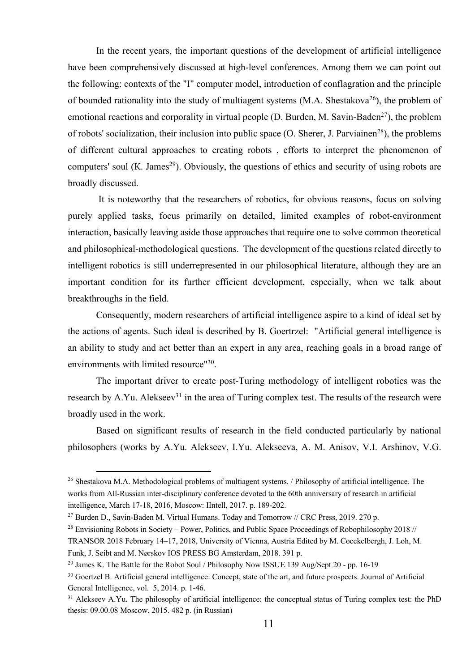In the recent years, the important questions of the development of artificial intelligence have been comprehensively discussed at high-level conferences. Among them we can point out the following: contexts of the "I" computer model, introduction of conflagration and the principle of bounded rationality into the study of multiagent systems  $(M.A.$  Shestakova<sup>26</sup>), the problem of emotional reactions and corporality in virtual people (D. Burden, M. Savin-Baden<sup>27</sup>), the problem of robots' socialization, their inclusion into public space (O. Sherer, J. Parviainen<sup>28</sup>), the problems of different cultural approaches to creating robots , efforts to interpret the phenomenon of computers' soul (K. James<sup>29</sup>). Obviously, the questions of ethics and security of using robots are broadly discussed.

It is noteworthy that the researchers of robotics, for obvious reasons, focus on solving purely applied tasks, focus primarily on detailed, limited examples of robot-environment interaction, basically leaving aside those approaches that require one to solve common theoretical and philosophical-methodological questions. The development of the questions related directly to intelligent robotics is still underrepresented in our philosophical literature, although they are an important condition for its further efficient development, especially, when we talk about breakthroughs in the field.

Consequently, modern researchers of artificial intelligence aspire to a kind of ideal set by the actions of agents. Such ideal is described by B. Goertrzel: "Artificial general intelligence is an ability to study and act better than an expert in any area, reaching goals in a broad range of environments with limited resource"30.

The important driver to create post-Turing methodology of intelligent robotics was the research by A.Yu. Alekseev<sup>31</sup> in the area of Turing complex test. The results of the research were broadly used in the work.

Based on significant results of research in the field conducted particularly by national philosophers (works by A.Yu. Alekseev, I.Yu. Alekseeva, А. М. Anisov, V.I. Arshinov, V.G.

<sup>&</sup>lt;sup>26</sup> Shestakova M.A. Methodological problems of multiagent systems. / Philosophy of artificial intelligence. The works from All-Russian inter-disciplinary conference devoted to the 60th anniversary of research in artificial intelligence, March 17-18, 2016, Moscow: IIntell, 2017. p. 189-202.

<sup>&</sup>lt;sup>27</sup> Burden D., Savin-Baden M. Virtual Humans. Today and Tomorrow // CRC Press, 2019. 270 p.

<sup>&</sup>lt;sup>28</sup> Envisioning Robots in Society – Power, Politics, and Public Space Proceedings of Robophilosophy 2018 // TRANSOR 2018 February 14–17, 2018, University of Vienna, Austria Edited by M. Coeckelbergh, J. Loh, M. Funk, J. Seibt and M. Nørskov IOS PRESS BG Amsterdam, 2018. 391 p.

<sup>&</sup>lt;sup>29</sup> James K. The Battle for the Robot Soul / Philosophy Now ISSUE 139 Aug/Sept 20 - pp. 16-19

<sup>&</sup>lt;sup>30</sup> Goertzel B. Artificial general intelligence: Concept, state of the art, and future prospects. Journal of Artificial General Intelligence, vol. 5, 2014. p. 1-46.

<sup>&</sup>lt;sup>31</sup> Alekseev A.Yu. The philosophy of artificial intelligence: the conceptual status of Turing complex test: the PhD thesis: 09.00.08 Moscow. 2015. 482 p. (in Russian)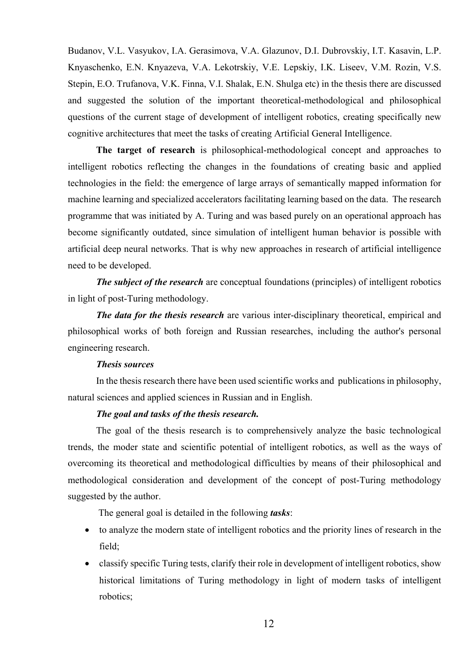Budanov, V.L. Vasyukov, I.A. Gerasimova, V.A. Glazunov, D.I. Dubrovskiy, I.T. Kasavin, L.P. Knyaschenko, E.N. Knyazeva, V.A. Lekotrskiy, V.E. Lepskiy, I.K. Liseev, V.M. Rozin, V.S. Stepin, E.O. Trufanova, V.K. Finna, V.I. Shalak, E.N. Shulga etc) in the thesis there are discussed and suggested the solution of the important theoretical-methodological and philosophical questions of the current stage of development of intelligent robotics, creating specifically new cognitive architectures that meet the tasks of creating Artificial General Intelligence.

**The target of research** is philosophical-methodological concept and approaches to intelligent robotics reflecting the changes in the foundations of creating basic and applied technologies in the field: the emergence of large arrays of semantically mapped information for machine learning and specialized accelerators facilitating learning based on the data. The research programme that was initiated by A. Turing and was based purely on an operational approach has become significantly outdated, since simulation of intelligent human behavior is possible with artificial deep neural networks. That is why new approaches in research of artificial intelligence need to be developed.

*The subject of the research* are conceptual foundations (principles) of intelligent robotics in light of post-Turing methodology.

*The data for the thesis research* are various inter-disciplinary theoretical, empirical and philosophical works of both foreign and Russian researches, including the author's personal engineering research.

#### *Thesis sources*

In the thesis research there have been used scientific works and publications in philosophy, natural sciences and applied sciences in Russian and in English.

## *The goal and tasks of the thesis research.*

The goal of the thesis research is to comprehensively analyze the basic technological trends, the moder state and scientific potential of intelligent robotics, as well as the ways of overcoming its theoretical and methodological difficulties by means of their philosophical and methodological consideration and development of the concept of post-Turing methodology suggested by the author.

The general goal is detailed in the following *tasks*:

- to analyze the modern state of intelligent robotics and the priority lines of research in the field;
- classify specific Turing tests, clarify their role in development of intelligent robotics, show historical limitations of Turing methodology in light of modern tasks of intelligent robotics;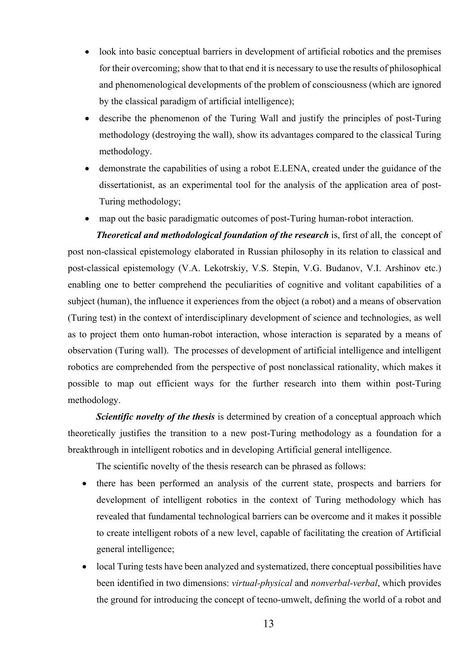- look into basic conceptual barriers in development of artificial robotics and the premises for their overcoming; show that to that end it is necessary to use the results of philosophical and phenomenological developments of the problem of consciousness (which are ignored by the classical paradigm of artificial intelligence);
- describe the phenomenon of the Turing Wall and justify the principles of post-Turing methodology (destroying the wall), show its advantages compared to the classical Turing methodology.
- demonstrate the capabilities of using a robot E.LENA, created under the guidance of the dissertationist, as an experimental tool for the analysis of the application area of post-Turing methodology;
- map out the basic paradigmatic outcomes of post-Turing human-robot interaction.

*Theoretical and methodological foundation of the research* is, first of all, the concept of post non-classical epistemology elaborated in Russian philosophy in its relation to classical and post-classical epistemology (V.A. Lekotrskiy, V.S. Stepin, V.G. Budanov, V.I. Arshinov etc.) enabling one to better comprehend the peculiarities of cognitive and volitant capabilities of a subject (human), the influence it experiences from the object (a robot) and a means of observation (Turing test) in the context of interdisciplinary development of science and technologies, as well as to project them onto human-robot interaction, whose interaction is separated by a means of observation (Turing wall). The processes of development of artificial intelligence and intelligent robotics are comprehended from the perspective of post nonclassical rationality, which makes it possible to map out efficient ways for the further research into them within post-Turing methodology.

*Scientific novelty of the thesis* is determined by creation of a conceptual approach which theoretically justifies the transition to a new post-Turing methodology as a foundation for a breakthrough in intelligent robotics and in developing Artificial general intelligence.

The scientific novelty of the thesis research can be phrased as follows:

- there has been performed an analysis of the current state, prospects and barriers for development of intelligent robotics in the context of Turing methodology which has revealed that fundamental technological barriers can be overcome and it makes it possible to create intelligent robots of a new level, capable of facilitating the creation of Artificial general intelligence;
- local Turing tests have been analyzed and systematized, there conceptual possibilities have been identified in two dimensions: *virtual-physical* and *nonverbal-verbal*, which provides the ground for introducing the concept of tecno-umwelt, defining the world of a robot and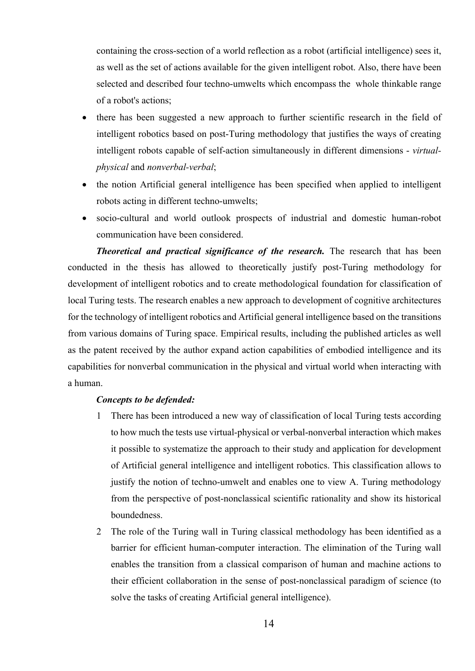containing the cross-section of a world reflection as a robot (artificial intelligence) sees it, as well as the set of actions available for the given intelligent robot. Also, there have been selected and described four techno-umwelts which encompass the whole thinkable range of a robot's actions;

- there has been suggested a new approach to further scientific research in the field of intelligent robotics based on post-Turing methodology that justifies the ways of creating intelligent robots capable of self-action simultaneously in different dimensions - *virtualphysical* and *nonverbal-verbal*;
- the notion Artificial general intelligence has been specified when applied to intelligent robots acting in different techno-umwelts;
- socio-cultural and world outlook prospects of industrial and domestic human-robot communication have been considered.

**Theoretical and practical significance of the research.** The research that has been conducted in the thesis has allowed to theoretically justify post-Turing methodology for development of intelligent robotics and to create methodological foundation for classification of local Turing tests. The research enables a new approach to development of cognitive architectures for the technology of intelligent robotics and Artificial general intelligence based on the transitions from various domains of Turing space. Empirical results, including the published articles as well as the patent received by the author expand action capabilities of embodied intelligence and its capabilities for nonverbal communication in the physical and virtual world when interacting with a human.

## *Concepts to be defended:*

- 1 There has been introduced a new way of classification of local Turing tests according to how much the tests use virtual-physical or verbal-nonverbal interaction which makes it possible to systematize the approach to their study and application for development of Artificial general intelligence and intelligent robotics. This classification allows to justify the notion of techno-umwelt and enables one to view A. Turing methodology from the perspective of post-nonclassical scientific rationality and show its historical boundedness.
- 2 The role of the Turing wall in Turing classical methodology has been identified as a barrier for efficient human-computer interaction. The elimination of the Turing wall enables the transition from a classical comparison of human and machine actions to their efficient collaboration in the sense of post-nonclassical paradigm of science (to solve the tasks of creating Artificial general intelligence).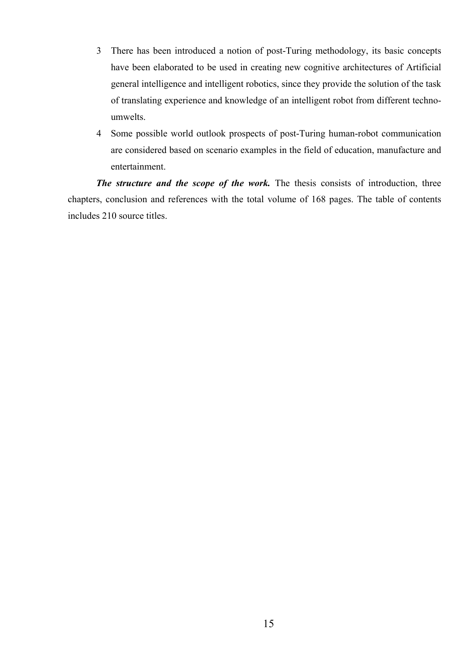- 3 There has been introduced a notion of post-Turing methodology, its basic concepts have been elaborated to be used in creating new cognitive architectures of Artificial general intelligence and intelligent robotics, since they provide the solution of the task of translating experience and knowledge of an intelligent robot from different technoumwelts.
- 4 Some possible world outlook prospects of post-Turing human-robot communication are considered based on scenario examples in the field of education, manufacture and entertainment.

The structure and the scope of the work. The thesis consists of introduction, three chapters, conclusion and references with the total volume of 168 pages. The table of contents includes 210 source titles.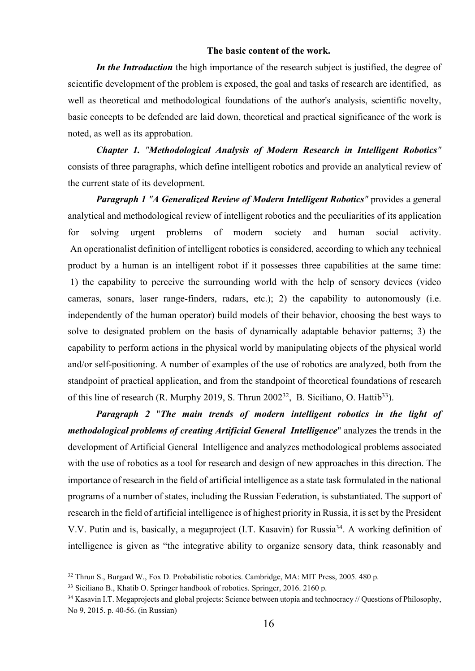#### **The basic content of the work.**

*In the Introduction* the high importance of the research subject is justified, the degree of scientific development of the problem is exposed, the goal and tasks of research are identified, as well as theoretical and methodological foundations of the author's analysis, scientific novelty, basic concepts to be defended are laid down, theoretical and practical significance of the work is noted, as well as its approbation.

*Chapter 1. "Methodological Analysis of Modern Research in Intelligent Robotics"* consists of three paragraphs, which define intelligent robotics and provide an analytical review of the current state of its development.

*Paragraph 1 "A Generalized Review of Modern Intelligent Robotics"* provides a general analytical and methodological review of intelligent robotics and the peculiarities of its application for solving urgent problems of modern society and human social activity. An operationalist definition of intelligent robotics is considered, according to which any technical product by a human is an intelligent robot if it possesses three capabilities at the same time: 1) the capability to perceive the surrounding world with the help of sensory devices (video cameras, sonars, laser range-finders, radars, etc.); 2) the capability to autonomously (i.e. independently of the human operator) build models of their behavior, choosing the best ways to solve to designated problem on the basis of dynamically adaptable behavior patterns; 3) the capability to perform actions in the physical world by manipulating objects of the physical world and/or self-positioning. A number of examples of the use of robotics are analyzed, both from the standpoint of practical application, and from the standpoint of theoretical foundations of research of this line of research (R. Murphy 2019, S. Thrun  $2002^{32}$ , B. Siciliano, O. Hattib<sup>33</sup>).

*Paragraph 2* "*The main trends of modern intelligent robotics in the light of methodological problems of creating Artificial General Intelligence*" analyzes the trends in the development of Artificial General Intelligence and analyzes methodological problems associated with the use of robotics as a tool for research and design of new approaches in this direction. The importance of research in the field of artificial intelligence as a state task formulated in the national programs of a number of states, including the Russian Federation, is substantiated. The support of research in the field of artificial intelligence is of highest priority in Russia, it is set by the President V.V. Putin and is, basically, a megaproject (I.T. Kasavin) for Russia<sup>34</sup>. A working definition of intelligence is given as "the integrative ability to organize sensory data, think reasonably and

<sup>&</sup>lt;sup>32</sup> Thrun S., Burgard W., Fox D. Probabilistic robotics. Cambridge, MA: MIT Press, 2005. 480 p.

<sup>&</sup>lt;sup>33</sup> Siciliano B., Khatib O. Springer handbook of robotics. Springer, 2016. 2160 p.

 $34$  Kasavin I.T. Megaprojects and global projects: Science between utopia and technocracy // Questions of Philosophy, No 9, 2015. p. 40-56. (in Russian)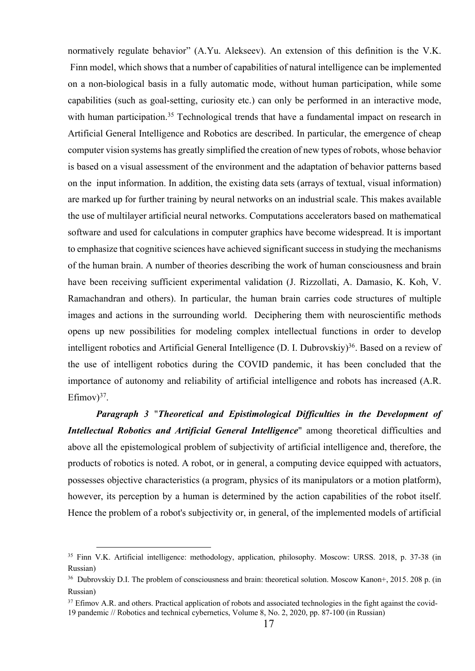normatively regulate behavior" (A.Yu. Alekseev). An extension of this definition is the V.K. Finn model, which shows that a number of capabilities of natural intelligence can be implemented on a non-biological basis in a fully automatic mode, without human participation, while some capabilities (such as goal-setting, curiosity etc.) can only be performed in an interactive mode, with human participation.<sup>35</sup> Technological trends that have a fundamental impact on research in Artificial General Intelligence and Robotics are described. In particular, the emergence of cheap computer vision systems has greatly simplified the creation of new types of robots, whose behavior is based on a visual assessment of the environment and the adaptation of behavior patterns based on the input information. In addition, the existing data sets (arrays of textual, visual information) are marked up for further training by neural networks on an industrial scale. This makes available the use of multilayer artificial neural networks. Computations accelerators based on mathematical software and used for calculations in computer graphics have become widespread. It is important to emphasize that cognitive sciences have achieved significant success in studying the mechanisms of the human brain. A number of theories describing the work of human consciousness and brain have been receiving sufficient experimental validation (J. Rizzollati, A. Damasio, K. Koh, V. Ramachandran and others). In particular, the human brain carries code structures of multiple images and actions in the surrounding world. Deciphering them with neuroscientific methods opens up new possibilities for modeling complex intellectual functions in order to develop intelligent robotics and Artificial General Intelligence (D. I. Dubrovskiy)<sup>36</sup>. Based on a review of the use of intelligent robotics during the COVID pandemic, it has been concluded that the importance of autonomy and reliability of artificial intelligence and robots has increased (A.R. Efimov $)^{37}$ .

*Paragraph 3* "*Theoretical and Epistimological Difficulties in the Development of Intellectual Robotics and Artificial General Intelligence*" among theoretical difficulties and above all the epistemological problem of subjectivity of artificial intelligence and, therefore, the products of robotics is noted. A robot, or in general, a computing device equipped with actuators, possesses objective characteristics (a program, physics of its manipulators or a motion platform), however, its perception by a human is determined by the action capabilities of the robot itself. Hence the problem of a robot's subjectivity or, in general, of the implemented models of artificial

<sup>35</sup> Finn V.K. Artificial intelligence: methodology, application, philosophy. Moscow: URSS. 2018, p. 37-38 (in Russian)

<sup>&</sup>lt;sup>36</sup> Dubrovskiy D.I. The problem of consciousness and brain: theoretical solution. Moscow Kanon+, 2015. 208 p. (in Russian)

 $37$  Efimov A.R. and others. Practical application of robots and associated technologies in the fight against the covid-19 pandemic // Robotics and technical cybernetics, Volume 8, No. 2, 2020, pp. 87-100 (in Russian)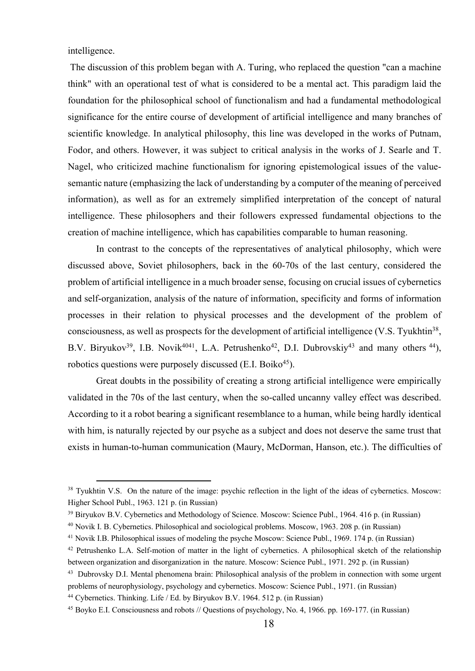intelligence.

The discussion of this problem began with A. Turing, who replaced the question "can a machine think" with an operational test of what is considered to be a mental act. This paradigm laid the foundation for the philosophical school of functionalism and had a fundamental methodological significance for the entire course of development of artificial intelligence and many branches of scientific knowledge. In analytical philosophy, this line was developed in the works of Putnam, Fodor, and others. However, it was subject to critical analysis in the works of J. Searle and T. Nagel, who criticized machine functionalism for ignoring epistemological issues of the valuesemantic nature (emphasizing the lack of understanding by a computer of the meaning of perceived information), as well as for an extremely simplified interpretation of the concept of natural intelligence. These philosophers and their followers expressed fundamental objections to the creation of machine intelligence, which has capabilities comparable to human reasoning.

In contrast to the concepts of the representatives of analytical philosophy, which were discussed above, Soviet philosophers, back in the 60-70s of the last century, considered the problem of artificial intelligence in a much broader sense, focusing on crucial issues of cybernetics and self-organization, analysis of the nature of information, specificity and forms of information processes in their relation to physical processes and the development of the problem of consciousness, as well as prospects for the development of artificial intelligence (V.S. Tyukhtin<sup>38</sup>, B.V. Biryukov<sup>39</sup>, I.B. Novik<sup>4041</sup>, L.A. Petrushenko<sup>42</sup>, D.I. Dubrovskiy<sup>43</sup> and many others <sup>44</sup>), robotics questions were purposely discussed  $(E.I. Boiko<sup>45</sup>)$ .

Great doubts in the possibility of creating a strong artificial intelligence were empirically validated in the 70s of the last century, when the so-called uncanny valley effect was described. According to it a robot bearing a significant resemblance to a human, while being hardly identical with him, is naturally rejected by our psyche as a subject and does not deserve the same trust that exists in human-to-human communication (Maury, McDorman, Hanson, etc.). The difficulties of

<sup>44</sup> Cybernetics. Thinking. Life / Ed. by Biryukov B.V. 1964. 512 p. (in Russian)

<sup>&</sup>lt;sup>38</sup> Tyukhtin V.S. On the nature of the image: psychic reflection in the light of the ideas of cybernetics. Moscow: Higher School Publ., 1963. 121 p. (in Russian)

<sup>&</sup>lt;sup>39</sup> Biryukov B.V. Cybernetics and Methodology of Science. Moscow: Science Publ., 1964. 416 p. (in Russian)

<sup>40</sup> Novik I. B. Cybernetics. Philosophical and sociological problems. Moscow, 1963. 208 p. (in Russian)

<sup>&</sup>lt;sup>41</sup> Novik I.B. Philosophical issues of modeling the psyche Moscow: Science Publ., 1969. 174 p. (in Russian)

<sup>&</sup>lt;sup>42</sup> Petrushenko L.A. Self-motion of matter in the light of cybernetics. A philosophical sketch of the relationship between organization and disorganization in the nature. Moscow: Science Publ., 1971. 292 p. (in Russian)

<sup>&</sup>lt;sup>43</sup> Dubrovsky D.I. Mental phenomena brain: Philosophical analysis of the problem in connection with some urgent problems of neurophysiology, psychology and cybernetics. Moscow: Science Publ., 1971. (in Russian)

<sup>45</sup> Boyko E.I. Consciousness and robots // Questions of psychology, No. 4, 1966. pp. 169-177. (in Russian)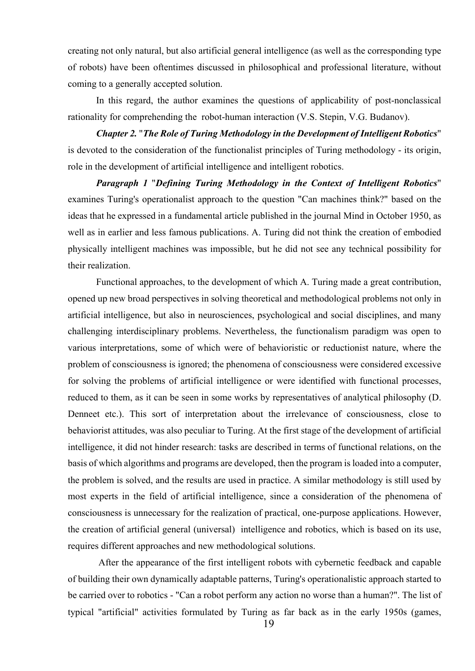creating not only natural, but also artificial general intelligence (as well as the corresponding type of robots) have been oftentimes discussed in philosophical and professional literature, without coming to a generally accepted solution.

In this regard, the author examines the questions of applicability of post-nonclassical rationality for comprehending the robot-human interaction (V.S. Stepin, V.G. Budanov).

*Chapter 2.* "*The Role of Turing Methodology in the Development of Intelligent Robotics*" is devoted to the consideration of the functionalist principles of Turing methodology - its origin, role in the development of artificial intelligence and intelligent robotics.

*Paragraph 1* "*Defining Turing Methodology in the Context of Intelligent Robotics*" examines Turing's operationalist approach to the question "Can machines think?" based on the ideas that he expressed in a fundamental article published in the journal Mind in October 1950, as well as in earlier and less famous publications. A. Turing did not think the creation of embodied physically intelligent machines was impossible, but he did not see any technical possibility for their realization.

Functional approaches, to the development of which A. Turing made a great contribution, opened up new broad perspectives in solving theoretical and methodological problems not only in artificial intelligence, but also in neurosciences, psychological and social disciplines, and many challenging interdisciplinary problems. Nevertheless, the functionalism paradigm was open to various interpretations, some of which were of behavioristic or reductionist nature, where the problem of consciousness is ignored; the phenomena of consciousness were considered excessive for solving the problems of artificial intelligence or were identified with functional processes, reduced to them, as it can be seen in some works by representatives of analytical philosophy (D. Denneеt etc.). This sort of interpretation about the irrelevance of consciousness, close to behaviorist attitudes, was also peculiar to Turing. At the first stage of the development of artificial intelligence, it did not hinder research: tasks are described in terms of functional relations, on the basis of which algorithms and programs are developed, then the program is loaded into a computer, the problem is solved, and the results are used in practice. A similar methodology is still used by most experts in the field of artificial intelligence, since a consideration of the phenomena of consciousness is unnecessary for the realization of practical, one-purpose applications. However, the creation of artificial general (universal) intelligence and robotics, which is based on its use, requires different approaches and new methodological solutions.

After the appearance of the first intelligent robots with cybernetic feedback and capable of building their own dynamically adaptable patterns, Turing's operationalistic approach started to be carried over to robotics - "Can a robot perform any action no worse than a human?". The list of typical "artificial" activities formulated by Turing as far back as in the early 1950s (games,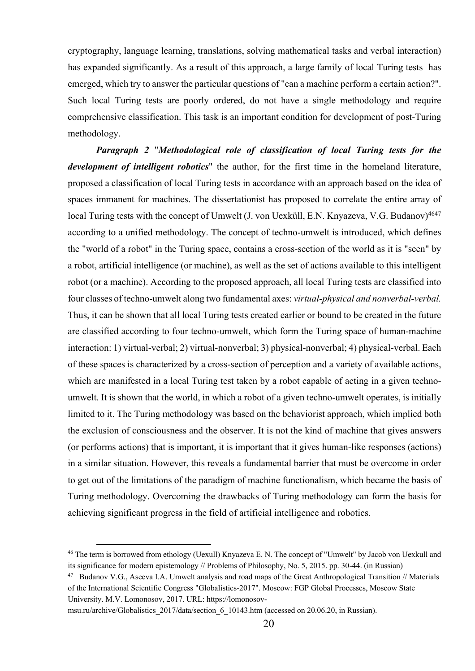cryptography, language learning, translations, solving mathematical tasks and verbal interaction) has expanded significantly. As a result of this approach, a large family of local Turing tests has emerged, which try to answer the particular questions of "can a machine perform a certain action?". Such local Turing tests are poorly ordered, do not have a single methodology and require comprehensive classification. This task is an important condition for development of post-Turing methodology.

*Paragraph 2* "*Methodological role of classification of local Turing tests for the development of intelligent robotics*" the author, for the first time in the homeland literature, proposed a classification of local Turing tests in accordance with an approach based on the idea of spaces immanent for machines. The dissertationist has proposed to correlate the entire array of local Turing tests with the concept of Umwelt (J. von Uexküll, E.N. Knyazeva, V.G. Budanov)<sup>4647</sup> according to a unified methodology. The concept of techno-umwelt is introduced, which defines the "world of a robot" in the Turing space, contains a cross-section of the world as it is "seen" by a robot, artificial intelligence (or machine), as well as the set of actions available to this intelligent robot (or a machine). According to the proposed approach, all local Turing tests are classified into four classes of techno-umwelt along two fundamental axes: *virtual-physical and nonverbal-verbal.* Thus, it can be shown that all local Turing tests created earlier or bound to be created in the future are classified according to four techno-umwelt, which form the Turing space of human-machine interaction: 1) virtual-verbal; 2) virtual-nonverbal; 3) physical-nonverbal; 4) physical-verbal. Each of these spaces is characterized by a cross-section of perception and a variety of available actions, which are manifested in a local Turing test taken by a robot capable of acting in a given technoumwelt. It is shown that the world, in which a robot of a given techno-umwelt operates, is initially limited to it. The Turing methodology was based on the behaviorist approach, which implied both the exclusion of consciousness and the observer. It is not the kind of machine that gives answers (or performs actions) that is important, it is important that it gives human-like responses (actions) in a similar situation. However, this reveals a fundamental barrier that must be overcome in order to get out of the limitations of the paradigm of machine functionalism, which became the basis of Turing methodology. Overcoming the drawbacks of Turing methodology can form the basis for achieving significant progress in the field of artificial intelligence and robotics.

<sup>46</sup> The term is borrowed from ethology (Uexull) Knyazeva E. N. The concept of "Umwelt" by Jacob von Uexkull and its significance for modern epistemology // Problems of Philosophy, No. 5, 2015. pp. 30-44. (in Russian)

<sup>&</sup>lt;sup>47</sup> Budanov V.G., Aseeva I.A. Umwelt analysis and road maps of the Great Anthropological Transition // Materials of the International Scientific Congress "Globalistics-2017". Moscow: FGP Global Processes, Moscow State University. M.V. Lomonosov, 2017. URL: https://lomonosov-

msu.ru/archive/Globalistics 2017/data/section 6 10143.htm (accessed on 20.06.20, in Russian).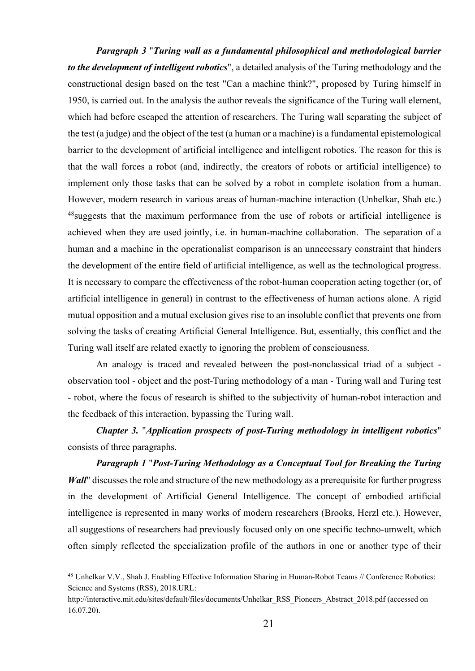*Paragraph 3* "*Turing wall as a fundamental philosophical and methodological barrier to the development of intelligent robotics*", a detailed analysis of the Turing methodology and the constructional design based on the test "Can a machine think?", proposed by Turing himself in 1950, is carried out. In the analysis the author reveals the significance of the Turing wall element, which had before escaped the attention of researchers. The Turing wall separating the subject of the test (a judge) and the object of the test (a human or a machine) is a fundamental epistemological barrier to the development of artificial intelligence and intelligent robotics. The reason for this is that the wall forces a robot (and, indirectly, the creators of robots or artificial intelligence) to implement only those tasks that can be solved by a robot in complete isolation from a human. However, modern research in various areas of human-machine interaction (Unhelkar, Shah etc.) <sup>48</sup> suggests that the maximum performance from the use of robots or artificial intelligence is achieved when they are used jointly, i.e. in human-machine collaboration. The separation of a human and a machine in the operationalist comparison is an unnecessary constraint that hinders the development of the entire field of artificial intelligence, as well as the technological progress. It is necessary to compare the effectiveness of the robot-human cooperation acting together (or, of artificial intelligence in general) in contrast to the effectiveness of human actions alone. A rigid mutual opposition and a mutual exclusion gives rise to an insoluble conflict that prevents one from solving the tasks of creating Artificial General Intelligence. But, essentially, this conflict and the Turing wall itself are related exactly to ignoring the problem of consciousness.

An analogy is traced and revealed between the post-nonclassical triad of a subject observation tool - object and the post-Turing methodology of a man - Turing wall and Turing test - robot, where the focus of research is shifted to the subjectivity of human-robot interaction and the feedback of this interaction, bypassing the Turing wall.

*Chapter 3.* "*Application prospects of post-Turing methodology in intelligent robotics*" consists of three paragraphs.

*Paragraph 1* "*Post-Turing Methodology as a Conceptual Tool for Breaking the Turing Wall*" discusses the role and structure of the new methodology as a prerequisite for further progress in the development of Artificial General Intelligence. The concept of embodied artificial intelligence is represented in many works of modern researchers (Brooks, Herzl etc.). However, all suggestions of researchers had previously focused only on one specific techno-umwelt, which often simply reflected the specialization profile of the authors in one or another type of their

<sup>48</sup> Unhelkar V.V., Shah J. Enabling Effective Information Sharing in Human-Robot Teams // Conference Robotics: Science and Systems (RSS), 2018.URL:

http://interactive.mit.edu/sites/default/files/documents/Unhelkar\_RSS\_Pioneers\_Abstract\_2018.pdf (accessed on 16.07.20).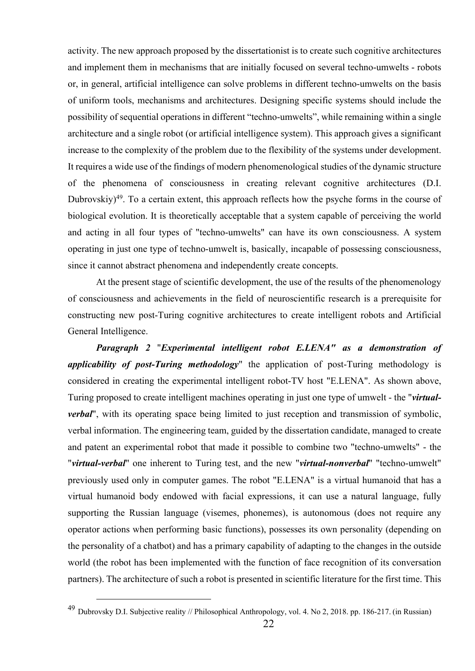activity. The new approach proposed by the dissertationist is to create such cognitive architectures and implement them in mechanisms that are initially focused on several techno-umwelts - robots or, in general, artificial intelligence can solve problems in different techno-umwelts on the basis of uniform tools, mechanisms and architectures. Designing specific systems should include the possibility of sequential operations in different "techno-umwelts", while remaining within a single architecture and a single robot (or artificial intelligence system). This approach gives a significant increase to the complexity of the problem due to the flexibility of the systems under development. It requires a wide use of the findings of modern phenomenological studies of the dynamic structure of the phenomena of consciousness in creating relevant cognitive architectures (D.I. Dubrovskiy)<sup>49</sup>. To a certain extent, this approach reflects how the psyche forms in the course of biological evolution. It is theoretically acceptable that a system capable of perceiving the world and acting in all four types of "techno-umwelts" can have its own consciousness. A system operating in just one type of techno-umwelt is, basically, incapable of possessing consciousness, since it cannot abstract phenomena and independently create concepts.

At the present stage of scientific development, the use of the results of the phenomenology of consciousness and achievements in the field of neuroscientific research is a prerequisite for constructing new post-Turing cognitive architectures to create intelligent robots and Artificial General Intelligence.

*Paragraph 2* "*Experimental intelligent robot E.LENA" as a demonstration of applicability of post-Turing methodology*" the application of post-Turing methodology is considered in creating the experimental intelligent robot-TV host "E.LENA". As shown above, Turing proposed to create intelligent machines operating in just one type of umwelt - the "*virtualverbal*", with its operating space being limited to just reception and transmission of symbolic, verbal information. The engineering team, guided by the dissertation candidate, managed to create and patent an experimental robot that made it possible to combine two "techno-umwelts" - the "*virtual-verbal*" one inherent to Turing test, and the new "*virtual-nonverbal*" "techno-umwelt" previously used only in computer games. The robot "E.LENA" is a virtual humanoid that has a virtual humanoid body endowed with facial expressions, it can use a natural language, fully supporting the Russian language (visemes, phonemes), is autonomous (does not require any operator actions when performing basic functions), possesses its own personality (depending on the personality of a chatbot) and has a primary capability of adapting to the changes in the outside world (the robot has been implemented with the function of face recognition of its conversation partners). The architecture of such a robot is presented in scientific literature for the first time. This

<sup>49</sup> Dubrovsky D.I. Subjective reality // Philosophical Anthropology, vol. 4. No 2, 2018. pp. 186-217. (in Russian)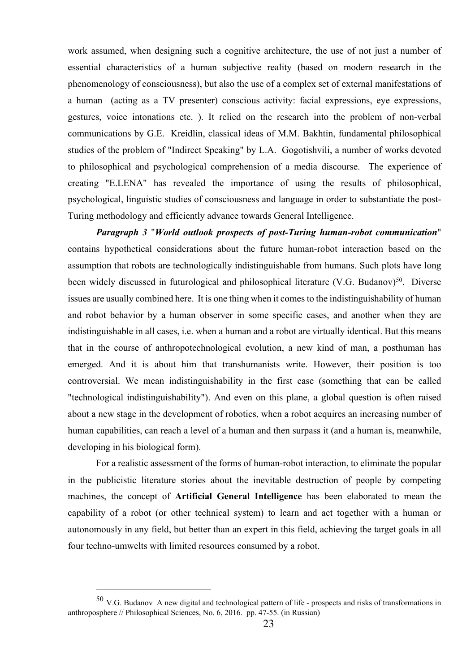work assumed, when designing such a cognitive architecture, the use of not just a number of essential characteristics of a human subjective reality (based on modern research in the phenomenology of consciousness), but also the use of a complex set of external manifestations of a human (acting as a TV presenter) conscious activity: facial expressions, eye expressions, gestures, voice intonations etc. ). It relied on the research into the problem of non-verbal communications by G.E. Kreidlin, classical ideas of M.M. Bakhtin, fundamental philosophical studies of the problem of "Indirect Speaking" by L.А. Gogotishvili, a number of works devoted to philosophical and psychological comprehension of a media discourse. The experience of creating "E.LENA" has revealed the importance of using the results of philosophical, psychological, linguistic studies of consciousness and language in order to substantiate the post-Turing methodology and efficiently advance towards General Intelligence.

*Paragraph 3* "*World outlook prospects of post-Turing human-robot communication*" contains hypothetical considerations about the future human-robot interaction based on the assumption that robots are technologically indistinguishable from humans. Such plots have long been widely discussed in futurological and philosophical literature  $(V.G. Budanov)<sup>50</sup>$ . Diverse issues are usually combined here. It is one thing when it comes to the indistinguishability of human and robot behavior by a human observer in some specific cases, and another when they are indistinguishable in all cases, i.e. when a human and a robot are virtually identical. But this means that in the course of anthropotechnological evolution, a new kind of man, a posthuman has emerged. And it is about him that transhumanists write. However, their position is too controversial. We mean indistinguishability in the first case (something that can be called "technological indistinguishability"). And even on this plane, a global question is often raised about a new stage in the development of robotics, when a robot acquires an increasing number of human capabilities, can reach a level of a human and then surpass it (and a human is, meanwhile, developing in his biological form).

For a realistic assessment of the forms of human-robot interaction, to eliminate the popular in the publicistic literature stories about the inevitable destruction of people by competing machines, the concept of **Artificial General Intelligence** has been elaborated to mean the capability of a robot (or other technical system) to learn and act together with a human or autonomously in any field, but better than an expert in this field, achieving the target goals in all four techno-umwelts with limited resources consumed by a robot.

<sup>50</sup> V.G. Budanov A new digital and technological pattern of life - prospects and risks of transformations in anthroposphere // Philosophical Sciences, No. 6, 2016. pp. 47-55. (in Russian)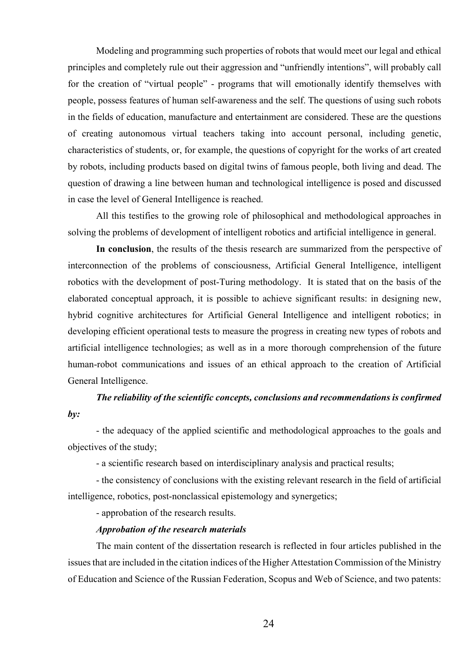Modeling and programming such properties of robots that would meet our legal and ethical principles and completely rule out their aggression and "unfriendly intentions", will probably call for the creation of "virtual people" - programs that will emotionally identify themselves with people, possess features of human self-awareness and the self. The questions of using such robots in the fields of education, manufacture and entertainment are considered. These are the questions of creating autonomous virtual teachers taking into account personal, including genetic, characteristics of students, or, for example, the questions of copyright for the works of art created by robots, including products based on digital twins of famous people, both living and dead. The question of drawing a line between human and technological intelligence is posed and discussed in case the level of General Intelligence is reached.

All this testifies to the growing role of philosophical and methodological approaches in solving the problems of development of intelligent robotics and artificial intelligence in general.

**In conclusion**, the results of the thesis research are summarized from the perspective of interconnection of the problems of consciousness, Artificial General Intelligence, intelligent robotics with the development of post-Turing methodology. It is stated that on the basis of the elaborated conceptual approach, it is possible to achieve significant results: in designing new, hybrid cognitive architectures for Artificial General Intelligence and intelligent robotics; in developing efficient operational tests to measure the progress in creating new types of robots and artificial intelligence technologies; as well as in a more thorough comprehension of the future human-robot communications and issues of an ethical approach to the creation of Artificial General Intelligence.

# *The reliability of the scientific concepts, conclusions and recommendations is confirmed by:*

- the adequacy of the applied scientific and methodological approaches to the goals and objectives of the study;

- a scientific research based on interdisciplinary analysis and practical results;

- the consistency of conclusions with the existing relevant research in the field of artificial intelligence, robotics, post-nonclassical epistemology and synergetics;

- approbation of the research results.

## *Approbation of the research materials*

The main content of the dissertation research is reflected in four articles published in the issues that are included in the citation indices of the Higher Attestation Commission of the Ministry of Education and Science of the Russian Federation, Scopus and Web of Science, and two patents: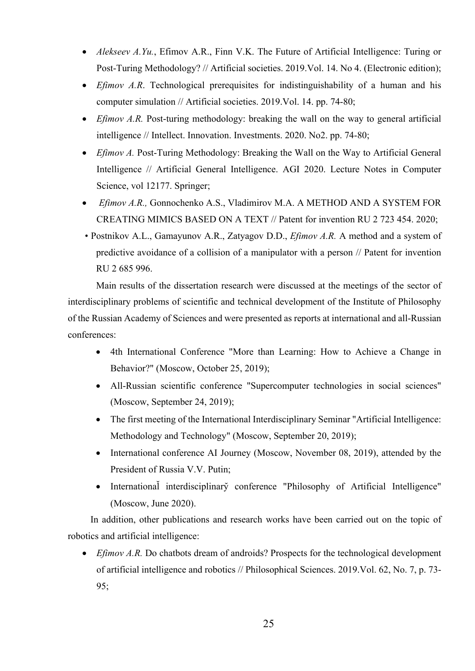- *Alekseev A.Yu.*, Efimov A.R., Finn V.K. The Future of Artificial Intelligence: Turing or Post-Turing Methodology? // Artificial societies. 2019.Vol. 14. No 4. (Electronic edition);
- *Efimov A.R*. Technological prerequisites for indistinguishability of a human and his computer simulation // Artificial societies. 2019.Vol. 14. pp. 74-80;
- *Efimov A.R.* Post-turing methodology: breaking the wall on the way to general artificial intelligence // Intellect. Innovation. Investments. 2020. No2. pp. 74-80;
- *Efimov A.* Post-Turing Methodology: Breaking the Wall on the Way to Artificial General Intelligence // Artificial General Intelligence. AGI 2020. Lecture Notes in Computer Science, vol 12177. Springer;
- *Efimov A.R.,* Gonnochenko A.S., Vladimirov M.A. A METHOD AND A SYSTEM FOR CREATING MIMICS BASED ON A TEXT // Patent for invention RU 2 723 454. 2020;
- Postnikov A.L., Gamayunov A.R., Zatyagov D.D., *Efimov A.R.* A method and a system of predictive avoidance of a collision of a manipulator with a person // Patent for invention RU 2 685 996.

Main results of the dissertation research were discussed at the meetings of the sector of interdisciplinary problems of scientific and technical development of the Institute of Philosophy of the Russian Academy of Sciences and were presented as reports at international and all-Russian conferences:

- 4th International Conference "More than Learning: How to Achieve a Change in Behavior?" (Moscow, October 25, 2019);
- All-Russian scientific conference "Supercomputer technologies in social sciences" (Moscow, September 24, 2019);
- The first meeting of the International Interdisciplinary Seminar "Artificial Intelligence: Methodology and Technology" (Moscow, September 20, 2019);
- International conference AI Journey (Moscow, November 08, 2019), attended by the President of Russia V.V. Putin;
- International interdisciplinary conference "Philosophy of Artificial Intelligence" (Moscow, June 2020).

In addition, other publications and research works have been carried out on the topic of robotics and artificial intelligence:

• *Efimov A.R.* Do chatbots dream of androids? Prospects for the technological development of artificial intelligence and robotics // Philosophical Sciences. 2019.Vol. 62, No. 7, p. 73- 95;